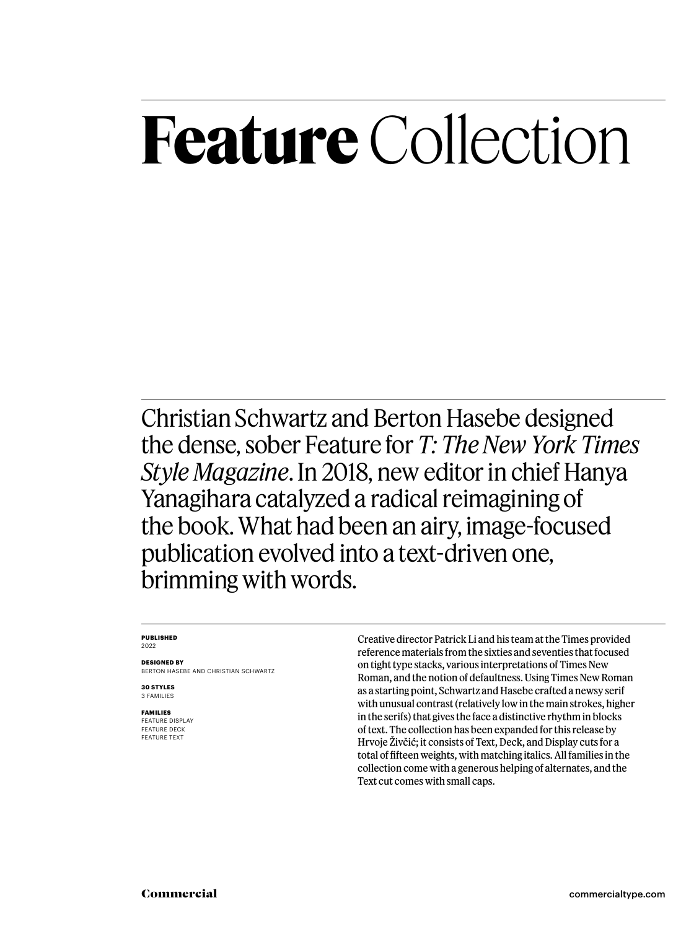## **Feature** Collection

Christian Schwartz and Berton Hasebe designed the dense, sober Feature for *T: The New York Times Style Magazine*. In 2018, new editor in chief Hanya Yanagihara catalyzed a radical reimagining of the book. What had been an airy, image-focused publication evolved into a text-driven one, brimming with words.

### **PUBLISHED** 2022

**DESIGNED BY** BERTON HASEBE AND CHRISTIAN SCHWARTZ

**30 STYLES** 3 FAMILIES

### **FAMILIES FEATURE DISPI AY** FEATURE DECK

FEATURE TEXT

Creative director Patrick Li and his team at the Times provided reference materials from the sixties and seventies that focused on tight type stacks, various interpretations of Times New Roman, and the notion of defaultness. Using Times New Roman as a starting point, Schwartz and Hasebe crafted a newsy serif with unusual contrast (relatively low in the main strokes, higher in the serifs) that gives the face a distinctive rhythm in blocks of text. The collection has been expanded for this release by Hrvoje Živčić; it consists of Text, Deck, and Display cuts for a total of fifteen weights, with matching italics. All families in the collection come with a generous helping of alternates, and the Text cut comes with small caps.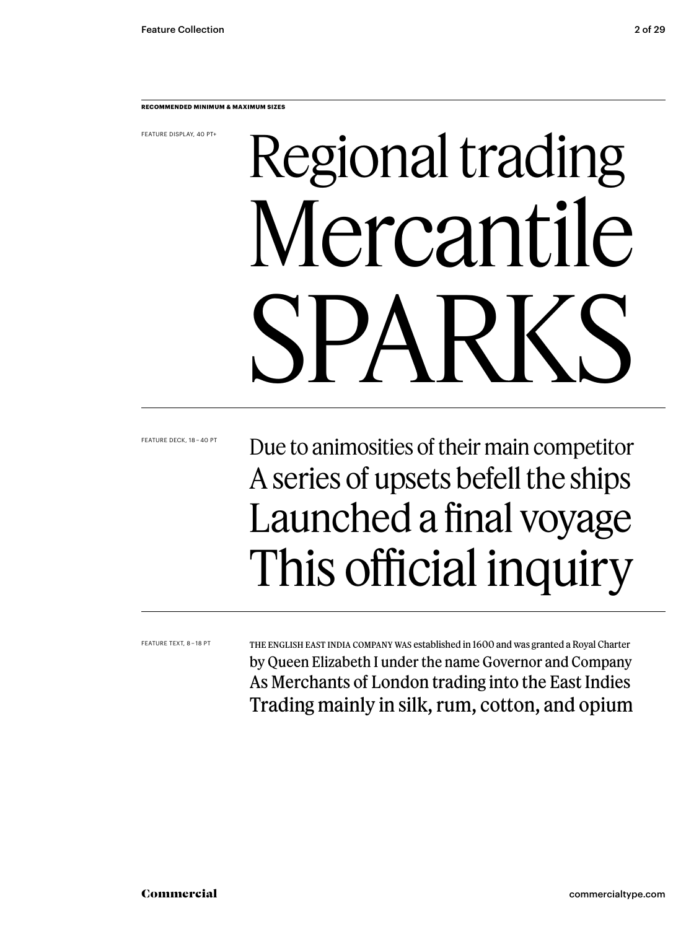**RECOMMENDED MINIMUM & MAXIMUM SIZES**

FEATURE DISPLAY, 40 PT+

## Regional trading Mercantile SPARKS

FEATURE DECK, 18 – 40 PT

### Due to animosities of their main competitor A series of upsets befell the ships Launched a final voyage This official inquiry

FEATURE TEXT, 8 – 18 PT

The English East India Company was established in 1600 and was granted a Royal Charter by Queen Elizabeth I under the name Governor and Company As Merchants of London trading into the East Indies Trading mainly in silk, rum, cotton, and opium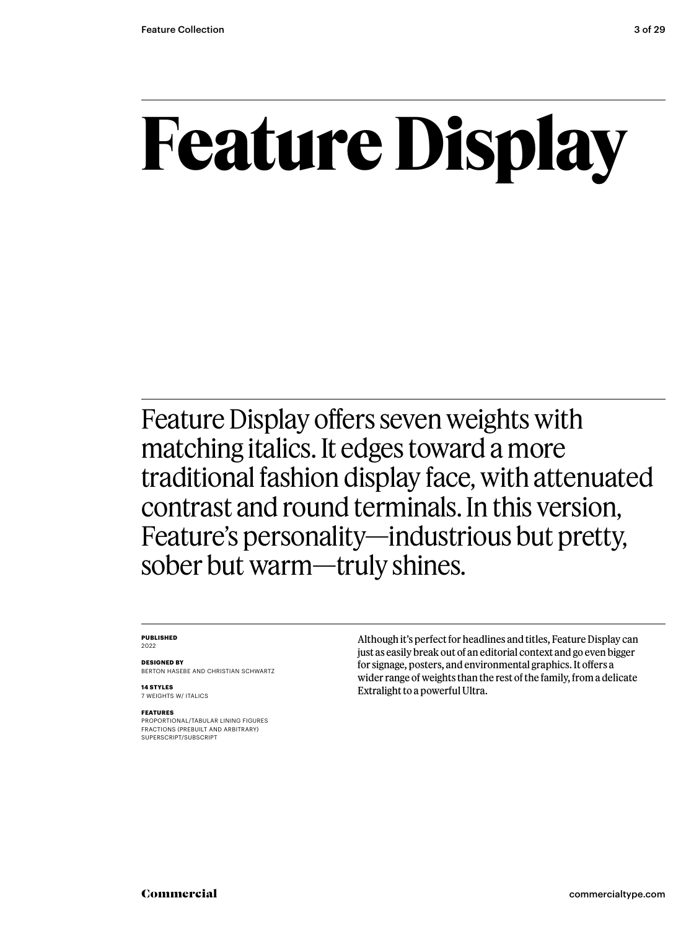## **Feature Display**

Feature Display offers seven weights with matching italics. It edges toward a more traditional fashion display face, with attenuated contrast and round terminals. In this version, Feature's personality—industrious but pretty, sober but warm—truly shines.

### **PUBLISHED** 2022

**DESIGNED BY** BERTON HASEBE AND CHRISTIAN SCHWARTZ

**14 STYLES** 7 WEIGHTS W/ ITALICS

### **FEATURES**

PROPORTIONAL/TABULAR LINING FIGURES FRACTIONS (PREBUILT AND ARBITRARY) SUPERSCRIPT/SUBSCRIPT

Although it's perfect for headlines and titles, Feature Display can just as easily break out of an editorial context and go even bigger for signage, posters, and environmental graphics. It offers a wider range of weights than the rest of the family, from a delicate Extralight to a powerful Ultra.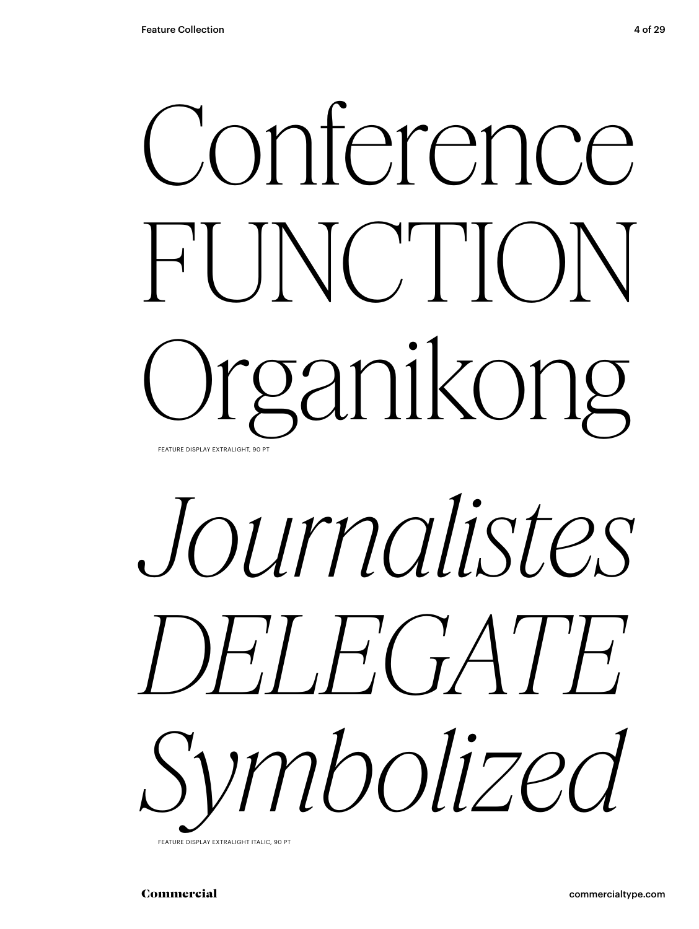



FEATURE DISPLAY EXTRALIGHT ITALIC, 90 PT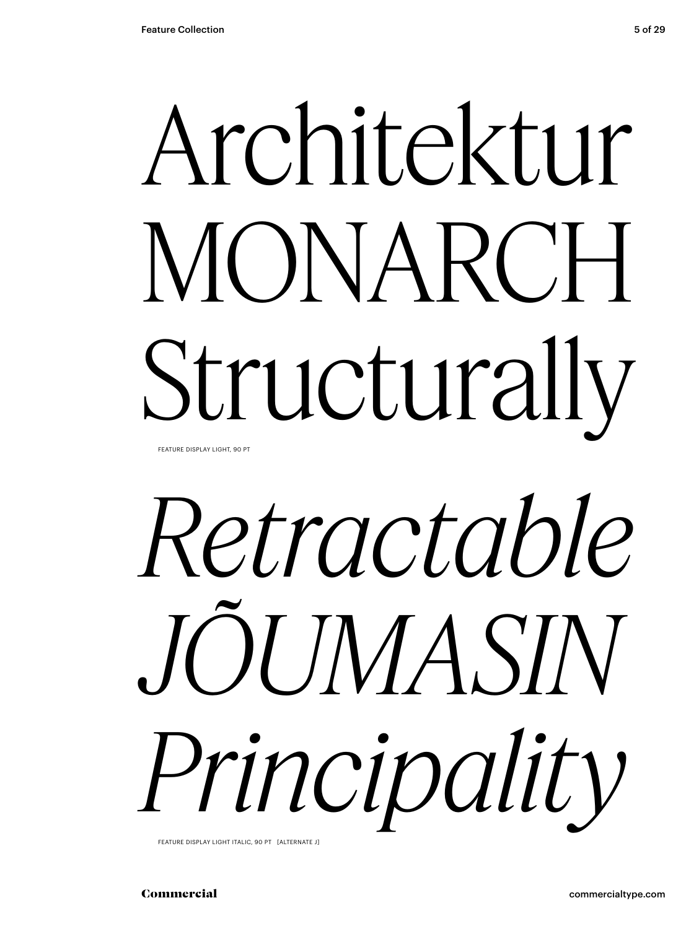## Architektur MONARCH Structurally FEATURE DISPLAY LIGHT, 90 PT

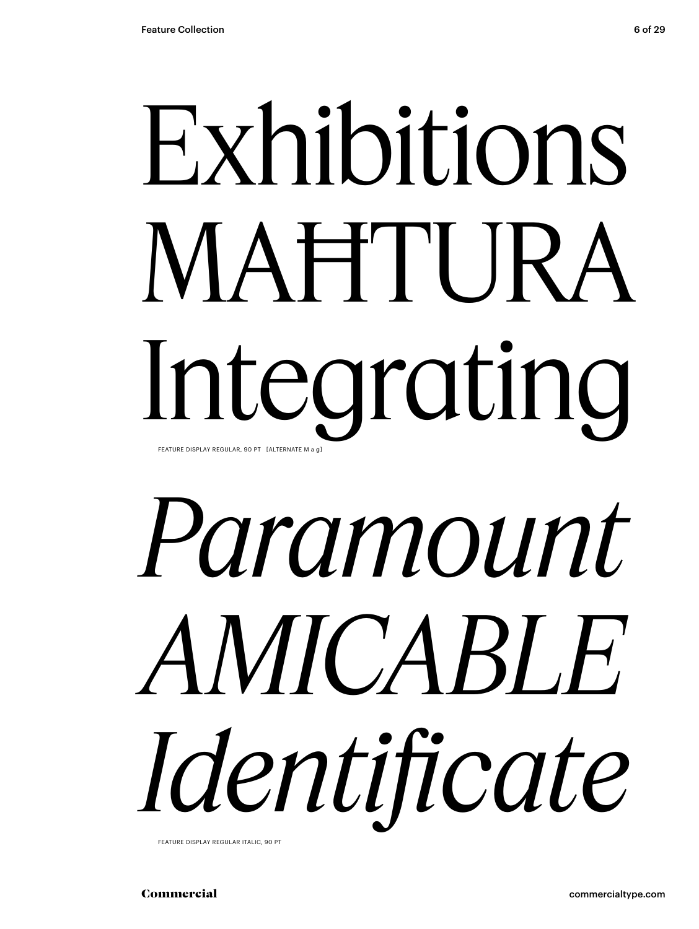## Exhibitions MAĦTURA Integrating FEATURE DISPLAY REGULAR, 90 PT [ALTERNATE M a g]

# *Paramount AMICABLE Identificate*

FEATURE DISPLAY REGULAR ITALIC, 90 PT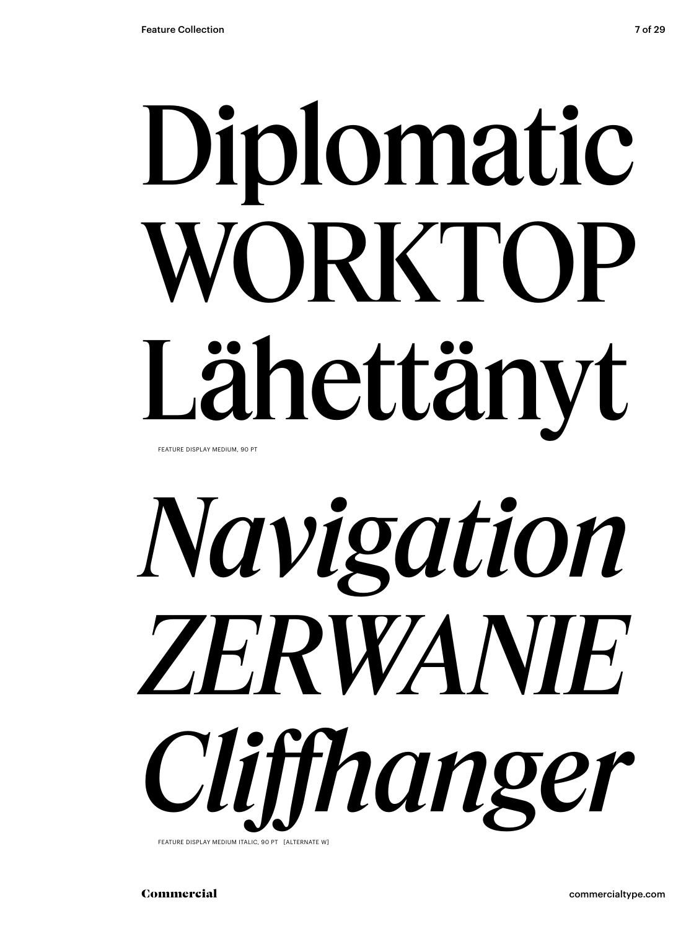# Diplomatic WORKTOP Lähettänyt

FEATURE DISPLAY MEDIUM, 90 PT

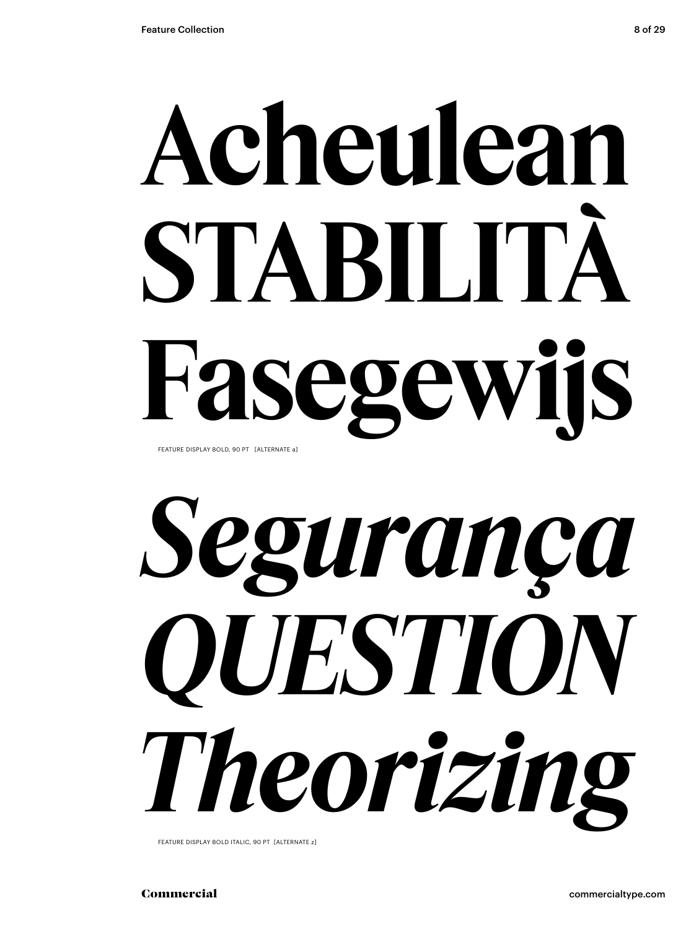## **Acheulean STABILITÀ Fasegewijs** FEATURE DISPLAY BOLD, 90 PT [ALTERNATE a]



FEATURE DISPLAY BOLD ITALIC, 90 PT [ALTERNATE z]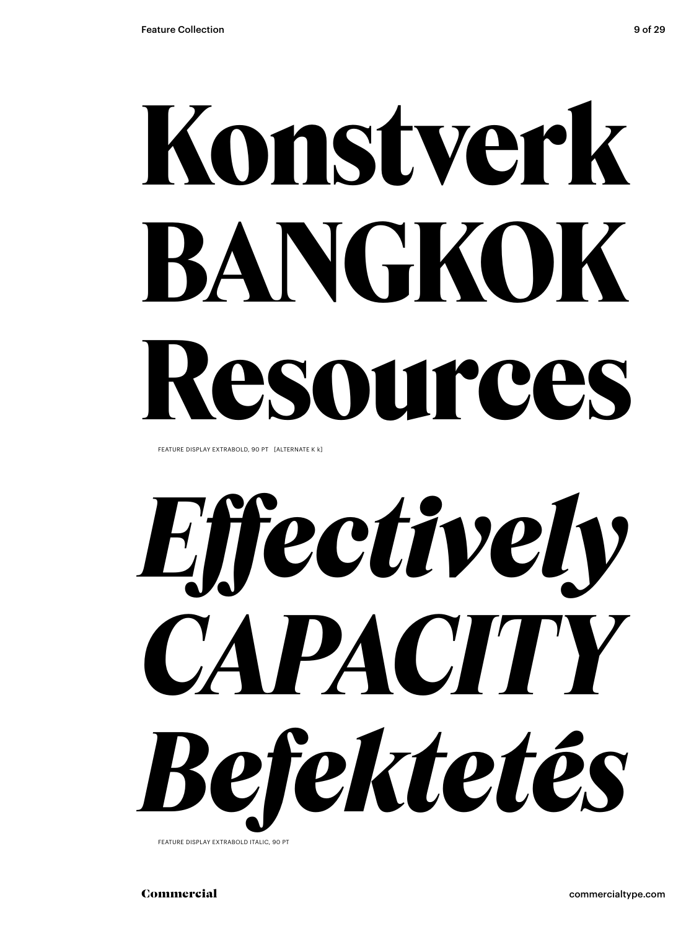# **Konstverk BANGKOK Resources**

FEATURE DISPLAY EXTRABOLD, 90 PT [ALTERNATE K k]

*Effectively CAPACITY Befektetés*

FEATURE DISPLAY EXTRABOLD ITALIC, 90 PT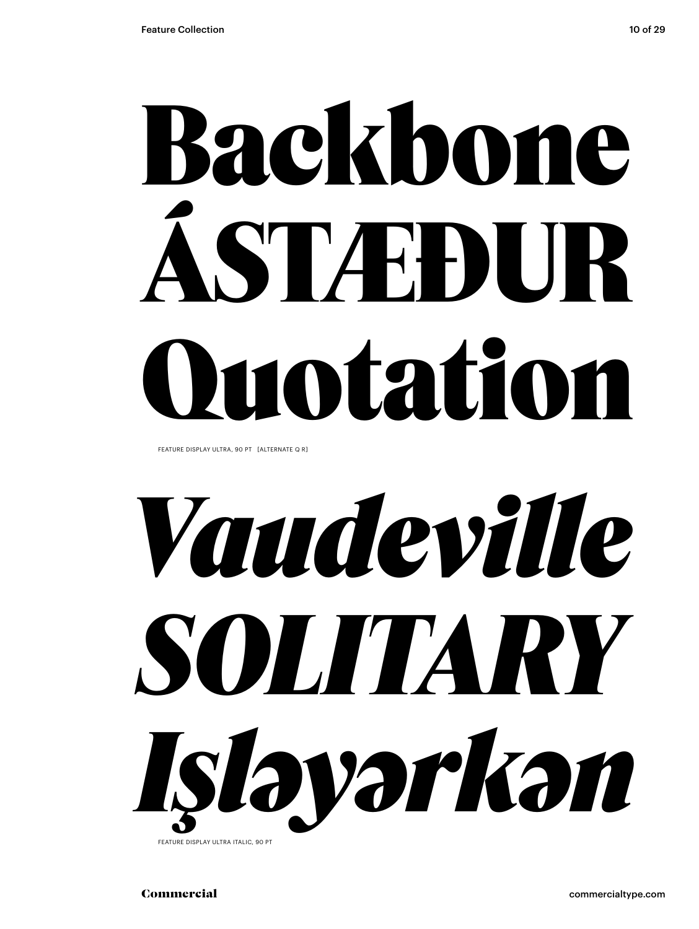# Backbone ÁSTÆÐUR Quotation

FEATURE DISPLAY ULTRA, 90 PT [ALTERNATE Q R]



FEATURE DISPLAY ULTRA ITALIC, 90 PT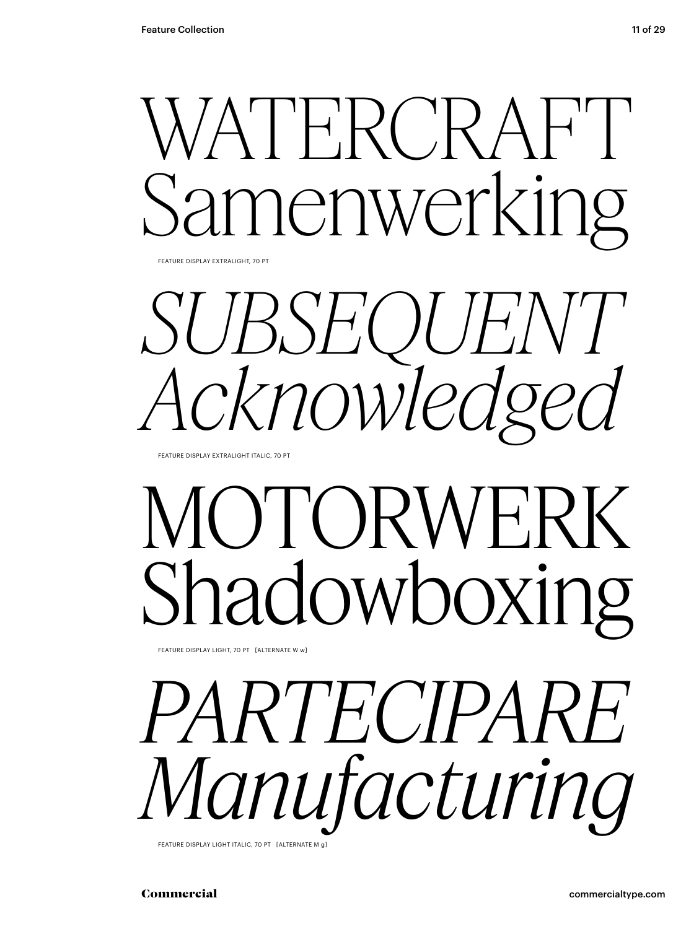## WATERCRAFT nenwerking

FEATURE DISPLAY EXTRALIGHT, 70 PT

SUBSEQUENT *Acknowledged*

FEATURE DISPLAY EXTRALIGHT ITALIC, 70 PT

## OTORWE<sup>R</sup> adowboxing

FEATURE DISPLAY LIGHT, 70 PT [ALTERNATE W w]

*PARTECIPARE Manufacturing* FEATURE DISPLAY LIGHT ITALIC, 70 PT [ALTERNATE M g]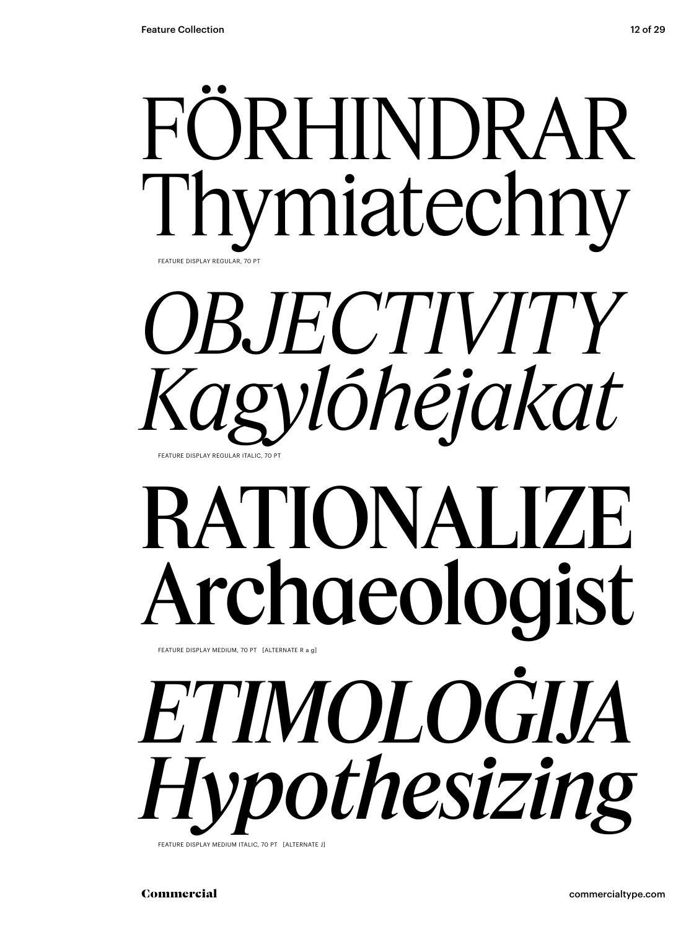



## RATIONALIZE Archaeologist

FEATURE DISPLAY MEDIUM, 70 PT [ALTERNATE R a g]

*ETIMOLOĠIJA Hypothesizing* FEATURE DISPLAY MEDIUM ITALIC, 70 PT [ALTERNATE J]

Commercial commercialtype.com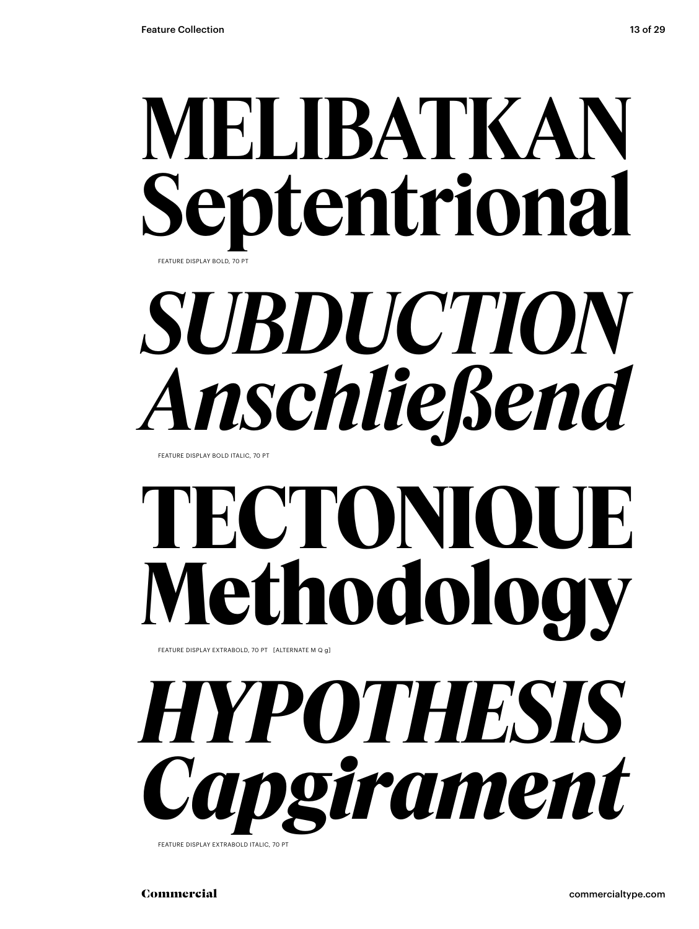## **MELIBATKAN Septentrional**

FEATURE DISPLAY BOLD, 70 PT

## *SUBDUCTION Anschließend*

FEATURE DISPLAY BOLD ITALIC, 70 PT

## **TECTONIQUE Methodology**

FEATURE DISPLAY EXTRABOLD, 70 PT [ALTERNATE M Q g]

## *HYPOTHESIS Capgirament*

FEATURE DISPLAY EXTRABOLD ITALIC, 70 PT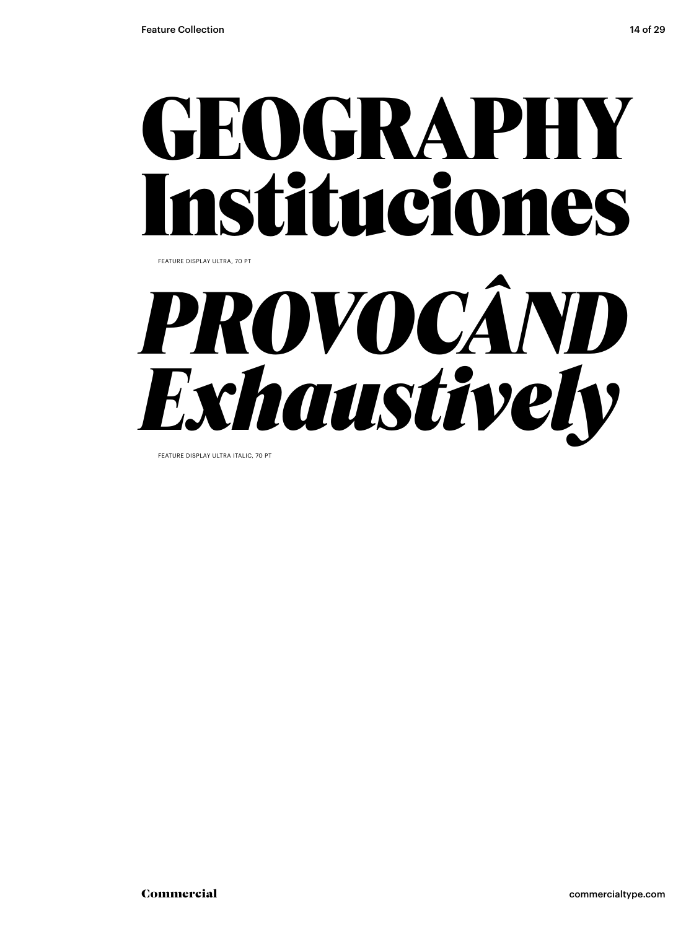### GEOGRAPHY Instituciones FEATURE DISPLAY ULTRA, 70 PT

*PROVOCÂND Exhaustively* 

FEATURE DISPLAY ULTRA ITALIC, 70 PT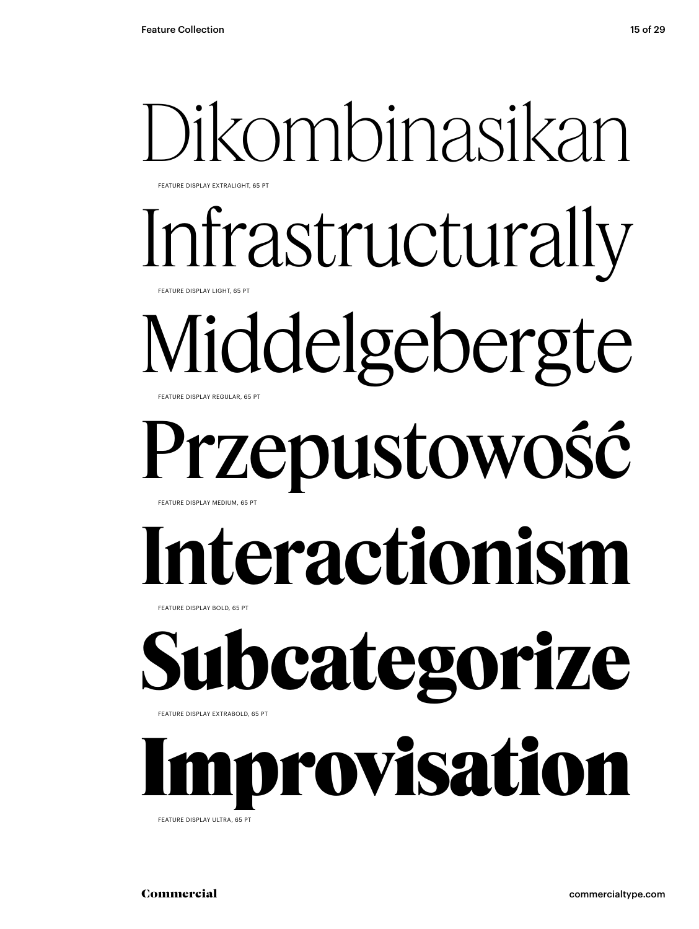FEATURE DISPLAY EXTRALIGHT, 65 PT

Infrastructurally

**EATURE DISPLAY LIGHT, 65 F** 

### Middelgebergte FEATURE DISPLAY REGULAR, 65 PT

### Przepustowość FEATURE DISPLAY MEDIUM, 65 PT

## **Interactionism**

FEATURE DISPLAY BOLD, 65 PT

## **Subcategorize**

FEATURE DISPLAY EXTRABOLD, 65 PT

Improvisation FEATURE DISPLAY ULTRA, 65 PT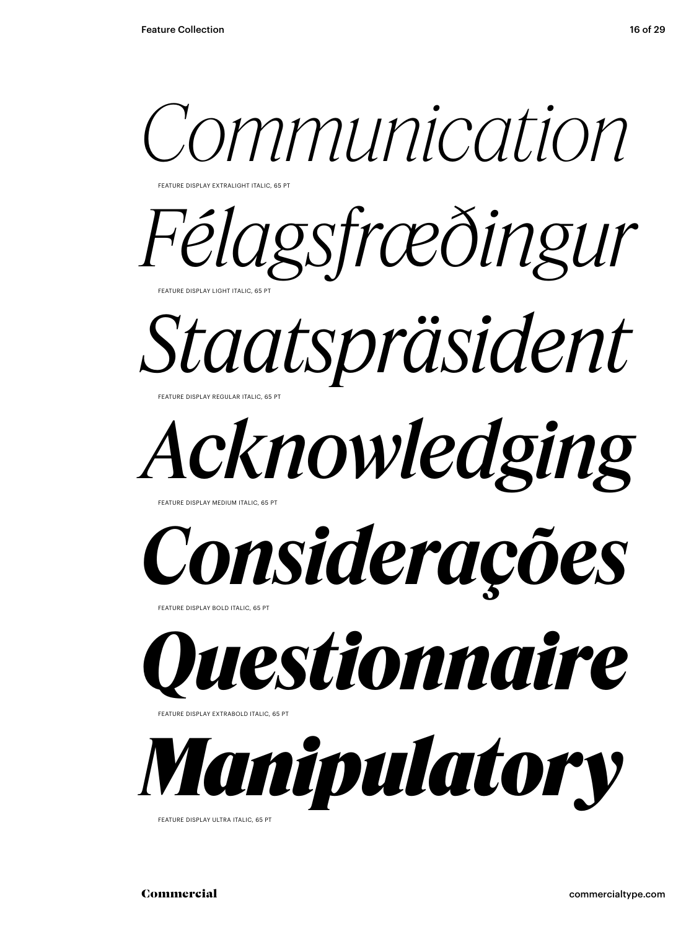

FEATURE DISPLAY EXTRALIGHT ITALIC, 65 PT

*Félagsfræðingur* FEATURE DISPLAY LIGHT ITALIC, 65 PT

*Staatspräsident*

*Acknowledging*

FEATURE DISPLAY MEDIUM ITALIC, 65

FEATURE DISPLAY REGULAR ITALIC, 65 PT

*Considerações*

FEATURE DISPLAY BOLD ITALIC, 65 P



FEATURE DISPLAY EXTRABOLD ITALIC, 65 PT



FEATURE DISPLAY ULTRA ITALIC, 65 PT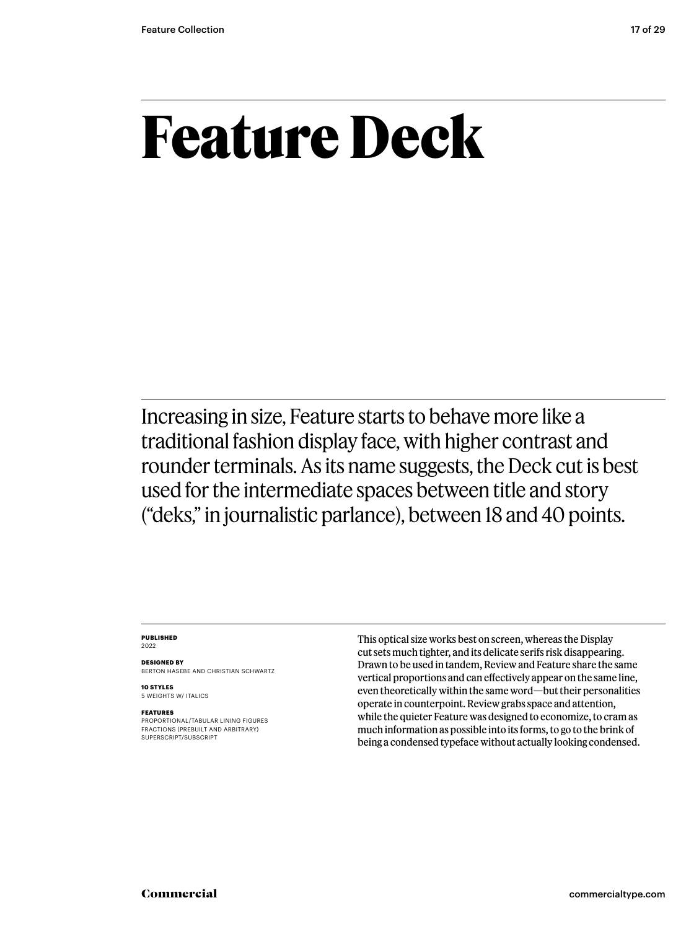### **Feature Deck**

Increasing in size, Feature starts to behave more like a traditional fashion display face, with higher contrast and rounder terminals. As its name suggests, the Deck cut is best used for the intermediate spaces between title and story ("deks," in journalistic parlance), between 18 and 40 points.

### **PUBLISHED** 2022

**DESIGNED BY** BERTON HASEBE AND CHRISTIAN SCHWARTZ

**10 STYLES** 5 WEIGHTS W/ ITALICS

### **FEATURES**

PROPORTIONAL/TABULAR LINING FIGURES FRACTIONS (PREBUILT AND ARBITRARY) SUPERSCRIPT/SUBSCRIPT

This optical size works best on screen, whereas the Display cut sets much tighter, and its delicate serifs risk disappearing. Drawn to be used in tandem, Review and Feature share the same vertical proportions and can effectively appear on the same line, even theoretically within the same word—but their personalities operate in counterpoint. Review grabs space and attention, while the quieter Feature was designed to economize, to cram as much information as possible into its forms, to go to the brink of being a condensed typeface without actually looking condensed.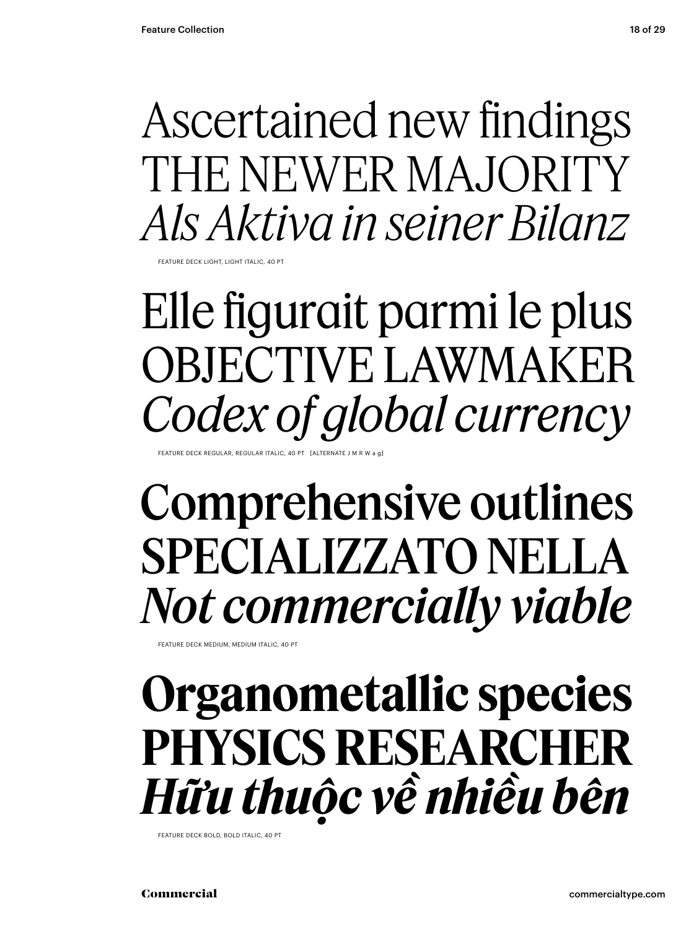### Ascertained new findings THE NEWER MAJORITY *Als Aktiva in seiner Bilanz*

FEATURE DECK LIGHT, LIGHT ITALIC, 40 PT

Elle figurait parmi le plus OBJECTIVE LAWMAKER *Codex of global currency*

FEATURE DECK REGULAR, REGULAR ITALIC, 40 PT

### Comprehensive outlines SPECIALIZZATO NELLA *Not commercially viable*

FEATURE DECK MEDIUM, MEDIUM ITALIC, 40 PT

### **Organometallic species PHYSICS RESEARCHER** *Hữu thuộc về nhiều bên*

FEATURE DECK BOLD, BOLD ITALIC, 40 PT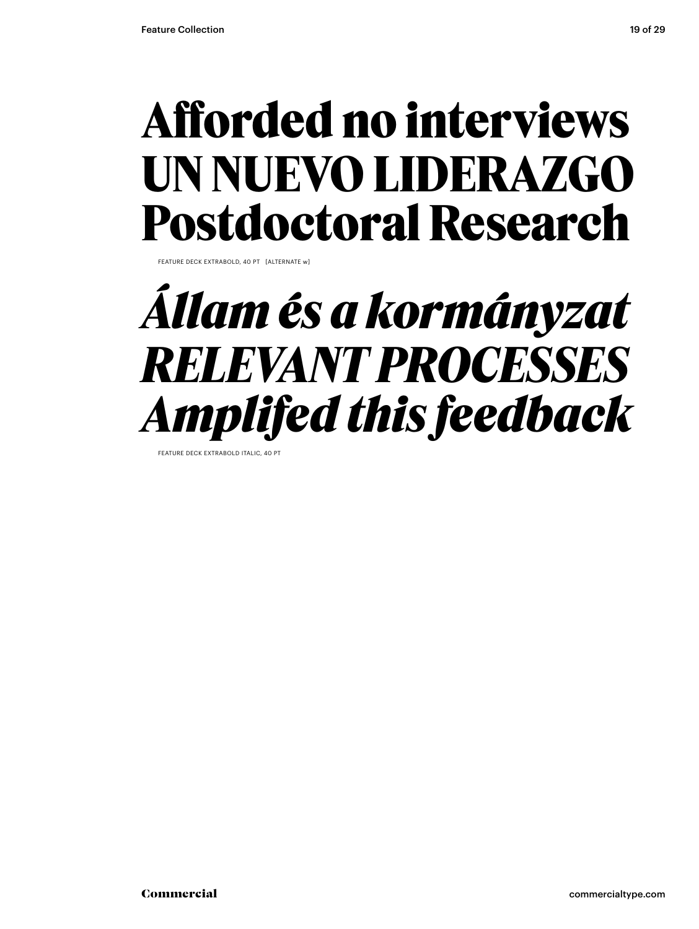### **Afforded no interviews UN NUEVO LIDERAZGO Postdoctoral Research**

FEATURE DECK EXTRABOLD, 40 PT [ALTERNATE w]

### *Állam és a kormányzat RELEVANT PROCESSES Amplifed this feedback*

**FEATURE DECK EXTRABOLD ITALIC**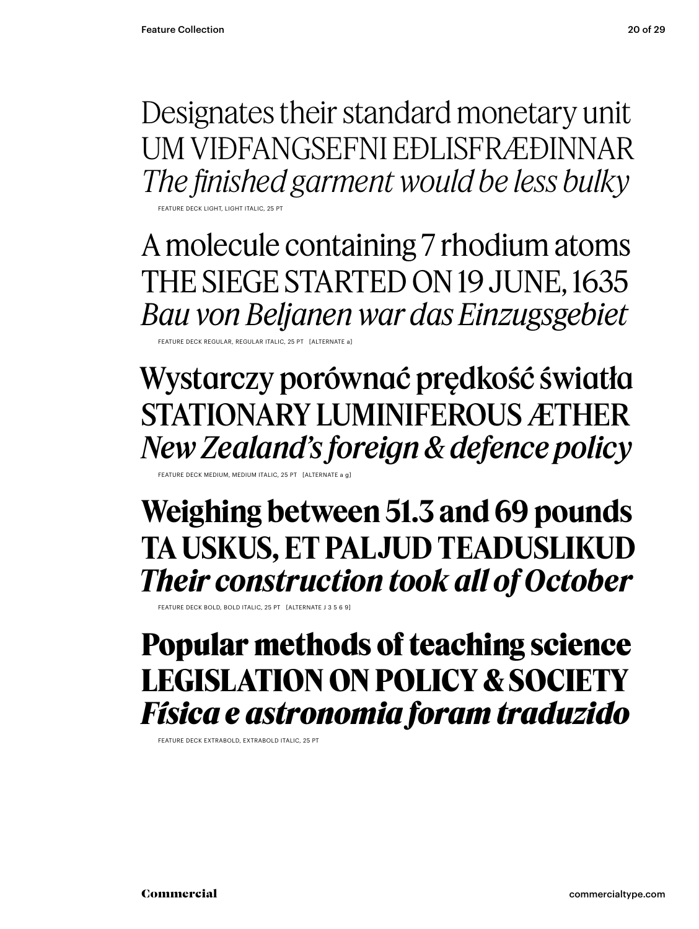Designates their standard monetary unit UM VIÐFANGSEFNI EÐLISFRÆÐINNAR *The finished garment would be less bulky*

FEATURE DECK LIGHT, LIGHT ITALIC, 25 PT

A molecule containing 7 rhodium atoms THE SIEGE STARTED ON 19 JUNE, 1635 *Bau von Beljanen war das Einzugsgebiet*

FEATURE DECK REGULAR, REGULAR ITALIC, 25 PT [ALTERNATE a]

Wystarczy porównać prędkość światła STATIONARY LUMINIFEROUS ÆTHER *New Zealand's foreign & defence policy*

FEATURE DECK MEDIUM, MEDIUM ITALIC, 25 PT [ALTERNATE a g]

**Weighing between 51.3 and 69 pounds TA USKUS, ET PALJUD TEADUSLIKUD** *Their construction took all of October*

FEATURE DECK BOLD, BOLD ITALIC, 25 PT [ALTERNATE J 3 5 6 9]

### **Popular methods of teaching science LEGISLATION ON POLICY & SOCIETY** *Física e astronomia foram traduzido*

FEATURE DECK EXTRABOLD, EXTRABOLD ITALIC, 25 PT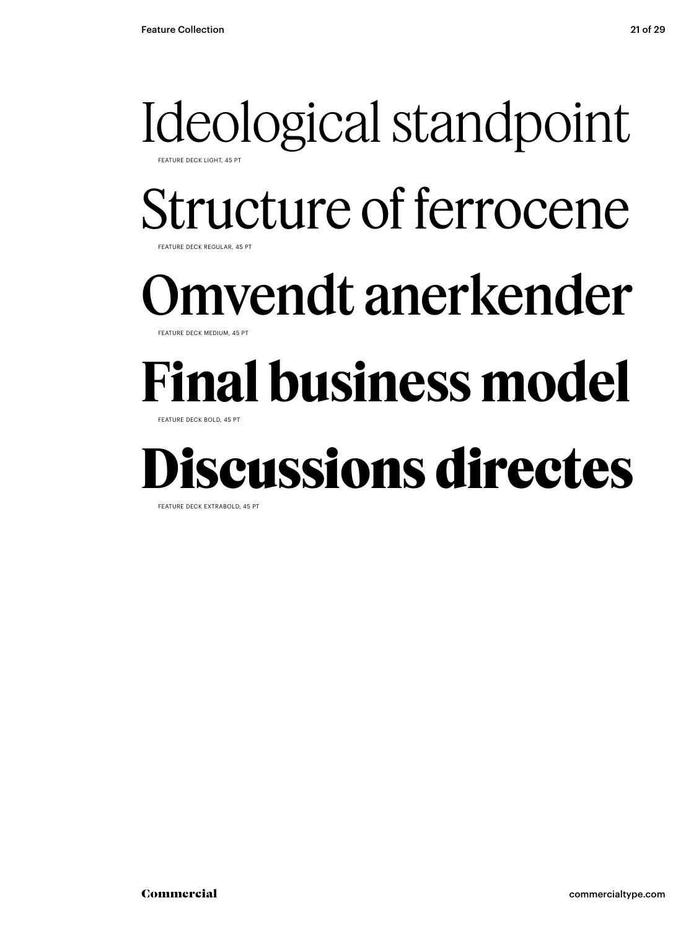### Ideological standpoint FEATURE DECK LIGHT, 45 PT

Structure of ferrocene

FEATURE DECK REGULAR, 45 PT

### mvendt anerkender

**FFATURE DECK MEDIUM, 45 PT** 

### **Final business model**

FEATURE DECK BOLD, 45 PT

### **Discussions directes**

FEATURE DECK EXTRABOLD, 45 PT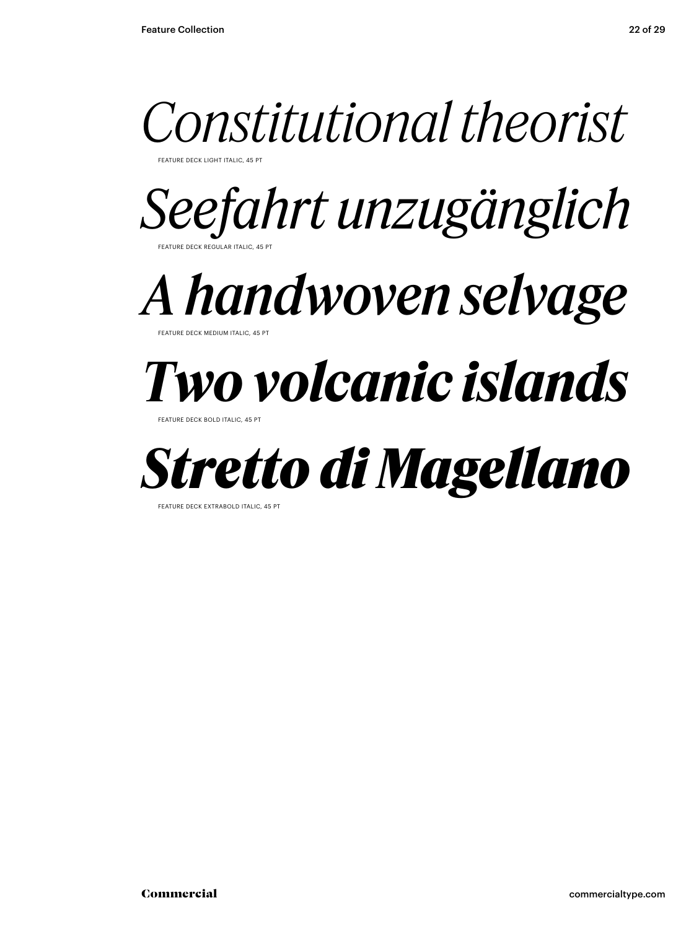

FEATURE DECK LIGHT ITALIC, 45 PT

*Seefahrt unzugänglich* FEATURE DECK REGULAR ITALIC, 45 PT

*A handwoven selvage*

**FATURE DECK MEDIUM ITAL** 

### *Two volcanic islands*

FEATURE DECK BOLD ITALIC, 45 P



FEATURE DECK EXTRABOLD ITALIC, 45 PT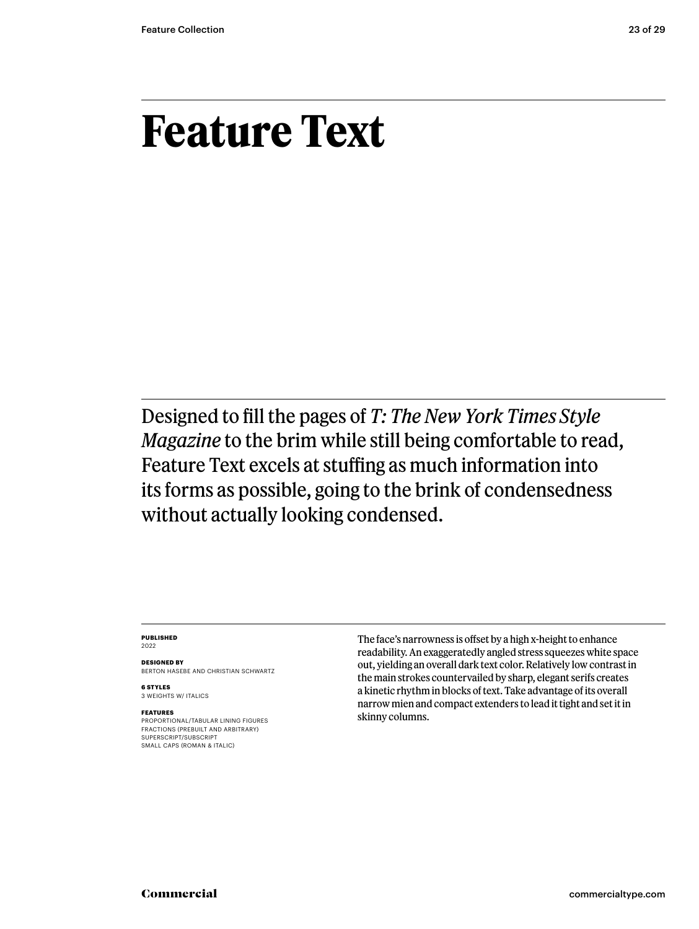### **Feature Text**

Designed to fill the pages of *T: The New York Times Style Magazine* to the brim while still being comfortable to read, Feature Text excels at stuffing as much information into its forms as possible, going to the brink of condensedness without actually looking condensed.

### **PUBLISHED** 2022

**DESIGNED BY** BERTON HASEBE AND CHRISTIAN SCHWARTZ

**6 STYLES** 3 WEIGHTS W/ ITALICS

### **FEATURES**

PROPORTIONAL/TABULAR LINING FIGURES FRACTIONS (PREBUILT AND ARBITRARY) SUPERSCRIPT/SUBSCRIPT SMALL CAPS (ROMAN & ITALIC)

The face's narrowness is offset by a high x-height to enhance readability. An exaggeratedly angled stress squeezes white space out, yielding an overall dark text color. Relatively low contrast in the main strokes countervailed by sharp, elegant serifs creates a kinetic rhythm in blocks of text. Take advantage of its overall narrow mien and compact extenders to lead it tight and set it in skinny columns.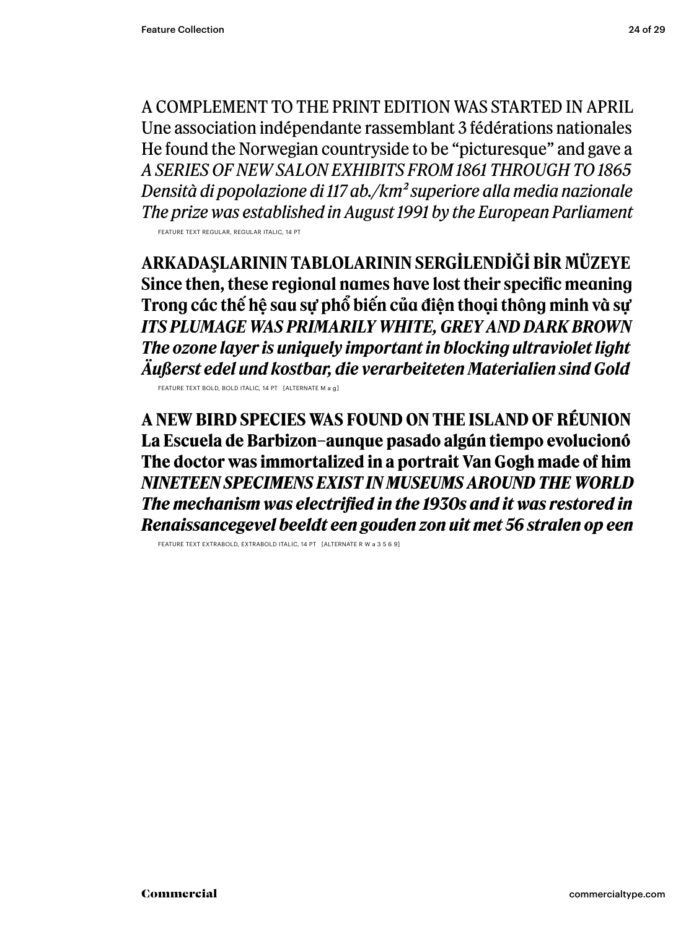A COMPLEMENT TO THE PRINT EDITION WAS STARTED IN APRIL Une association indépendante rassemblant 3 fédérations nationales He found the Norwegian countryside to be "picturesque" and gave a *A SERIES OF NEW SALON EXHIBITS FROM 1861 THROUGH TO 1865 Densità di popolazione di 117 ab./km2 superiore alla media nazionale The prize was established in August 1991 by the European Parliament* FEATURE TEXT REGULAR, REGULAR ITALIC, 14 PT

**ARKADAŞLARININ TABLOLARININ SERGILENDIĞI BIR MÜZEYE Since then, these regional names have lost their specific meaning Trong các thế hệ sau sự phổ biến của điện thoại thông minh và sự** *ITS PLUMAGE WAS PRIMARILY WHITE, GREY AND DARK BROWN The ozone layer is uniquely important in blocking ultraviolet light Äußerst edel und kostbar, die verarbeiteten Materialien sind Gold*

FEATURE TEXT BOLD, BOLD ITALIC, 14 PT [ALTERNATE M a g]

**A NEW BIRD SPECIES WAS FOUND ON THE ISLAND OF RÉUNION La Escuela de Barbizon–aunque pasado algún tiempo evolucionó The doctor was immortalized in a portrait Van Gogh made of him** *NINETEEN SPECIMENS EXIST IN MUSEUMS AROUND THE WORLD The mechanism was electrified in the 1930s and it was restored in Renaissancegevel beeldt een gouden zon uit met 56 stralen op een* 

FEATURE TEXT EXTRABOLD, EXTRABOLD ITALIC, 14 PT [ALTERNATE R W a 3 5 6 9]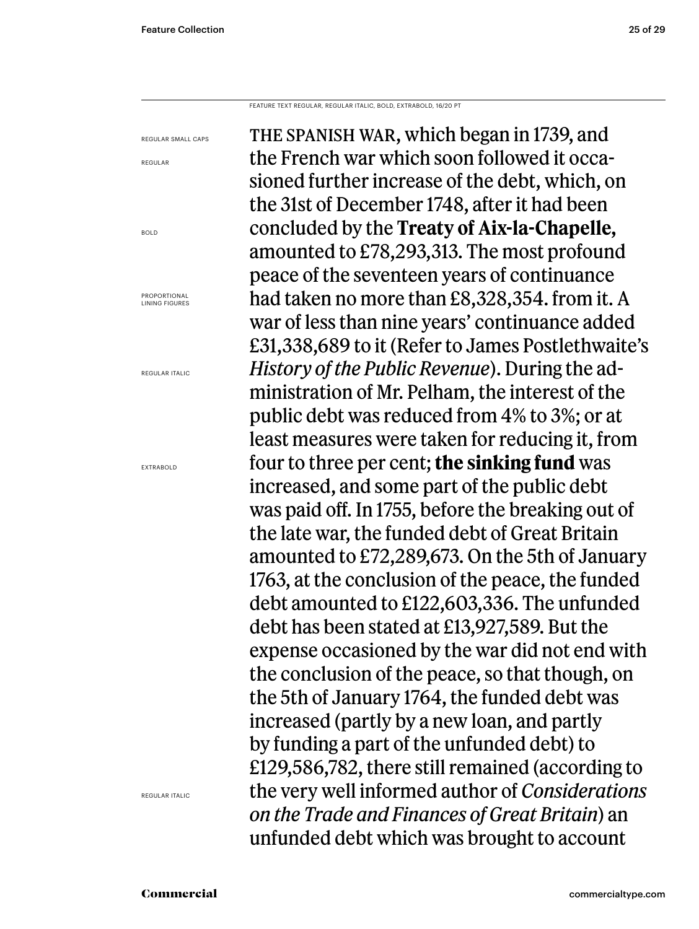FEATURE TEXT REGULAR, REGULAR ITALIC, BOLD, EXTRABOLD, 16/20 PT

REGULAR SMALL CAPS REGULAR BOLD PROPORTIONAL LINING FIGURES REGULAR ITALIC EXTRABOLD

REGULAR ITALIC

THE SPANISH WAR, which began in 1739, and the French war which soon followed it occasioned further increase of the debt, which, on the 31st of December 1748, after it had been concluded by the **Treaty of Aix-la-Chapelle,**  amounted to £78,293,313. The most profound peace of the seventeen years of continuance had taken no more than £8,328,354. from it. A war of less than nine years' continuance added £31,338,689 to it (Refer to James Postlethwaite's *History of the Public Revenue*). During the administration of Mr. Pelham, the interest of the public debt was reduced from 4% to 3%; or at least measures were taken for reducing it, from four to three per cent; **the sinking fund** was increased, and some part of the public debt was paid off. In 1755, before the breaking out of the late war, the funded debt of Great Britain amounted to £72,289,673. On the 5th of January 1763, at the conclusion of the peace, the funded debt amounted to £122,603,336. The unfunded debt has been stated at £13,927,589. But the expense occasioned by the war did not end with the conclusion of the peace, so that though, on the 5th of January 1764, the funded debt was increased (partly by a new loan, and partly by funding a part of the unfunded debt) to £129,586,782, there still remained (according to the very well informed author of *Considerations on the Trade and Finances of Great Britain*) an unfunded debt which was brought to account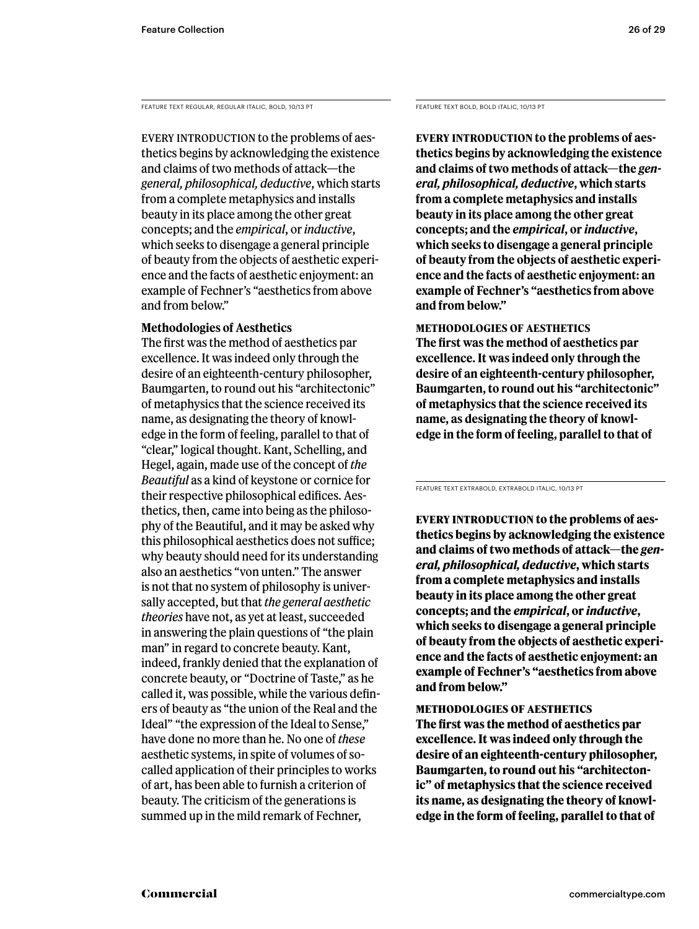FEATURE TEXT REGULAR, REGULAR ITALIC, BOLD, 10/13 PT

EVERY INTRODUCTION to the problems of aesthetics begins by acknowledging the existence and claims of two methods of attack—the *general, philosophical, deductive*, which starts from a complete metaphysics and installs beauty in its place among the other great concepts; and the *empirical*, or *inductive*, which seeks to disengage a general principle of beauty from the objects of aesthetic experience and the facts of aesthetic enjoyment: an example of Fechner's "aesthetics from above and from below."

### **Methodologies of Aesthetics**

The first was the method of aesthetics par excellence. It was indeed only through the desire of an eighteenth-century philosopher, Baumgarten, to round out his "architectonic" of metaphysics that the science received its name, as designating the theory of knowledge in the form of feeling, parallel to that of "clear," logical thought. Kant, Schelling, and Hegel, again, made use of the concept of *the Beautiful* as a kind of keystone or cornice for their respective philosophical edifices. Aesthetics, then, came into being as the philosophy of the Beautiful, and it may be asked why this philosophical aesthetics does not suffice; why beauty should need for its understanding also an aesthetics "von unten." The answer is not that no system of philosophy is universally accepted, but that *the general aesthetic theories* have not, as yet at least, succeeded in answering the plain questions of "the plain man" in regard to concrete beauty. Kant, indeed, frankly denied that the explanation of concrete beauty, or "Doctrine of Taste," as he called it, was possible, while the various definers of beauty as "the union of the Real and the Ideal" "the expression of the Ideal to Sense," have done no more than he. No one of *these* aesthetic systems, in spite of volumes of socalled application of their principles to works of art, has been able to furnish a criterion of beauty. The criticism of the generations is summed up in the mild remark of Fechner,

FEATURE TEXT BOLD, BOLD ITALIC, 10/13 PT

**Every introduction to the problems of aesthetics begins by acknowledging the existence and claims of two methods of attack—the** *general, philosophical, deductive***, which starts from a complete metaphysics and installs beauty in its place among the other great concepts; and the** *empirical***, or** *inductive***, which seeks to disengage a general principle of beauty from the objects of aesthetic experience and the facts of aesthetic enjoyment: an example of Fechner's "aesthetics from above and from below."** 

**Methodologies of Aesthetics The first was the method of aesthetics par excellence. It was indeed only through the desire of an eighteenth-century philosopher, Baumgarten, to round out his "architectonic" of metaphysics that the science received its name, as designating the theory of knowledge in the form of feeling, parallel to that of** 

FEATURE TEXT EXTRABOLD, EXTRABOLD ITALIC, 10/13 PT

**Every introduction to the problems of aesthetics begins by acknowledging the existence and claims of two methods of attack—the** *general, philosophical, deductive***, which starts from a complete metaphysics and installs beauty in its place among the other great concepts; and the** *empirical***, or** *inductive***, which seeks to disengage a general principle of beauty from the objects of aesthetic experience and the facts of aesthetic enjoyment: an example of Fechner's "aesthetics from above and from below."** 

### **Methodologies of Aesthetics**

**The first was the method of aesthetics par excellence. It was indeed only through the desire of an eighteenth-century philosopher, Baumgarten, to round out his "architectonic" of metaphysics that the science received its name, as designating the theory of knowledge in the form of feeling, parallel to that of**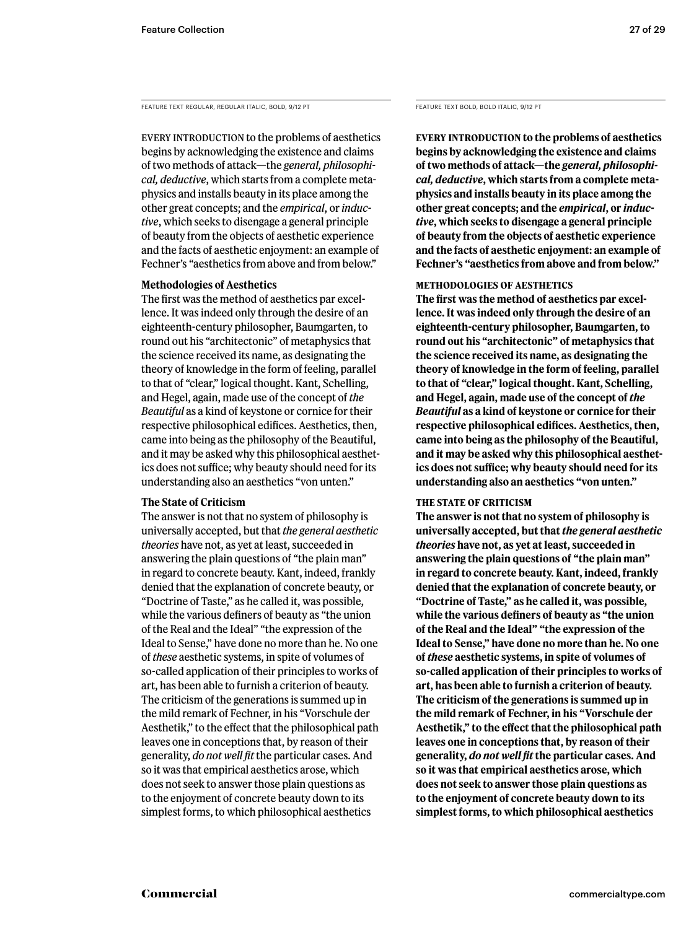FEATURE TEXT REGULAR, REGULAR ITALIC, BOLD, 9/12 PT

EVERY INTRODUCTION to the problems of aesthetics begins by acknowledging the existence and claims of two methods of attack—the *general, philosophical, deductive*, which starts from a complete metaphysics and installs beauty in its place among the other great concepts; and the *empirical*, or *inductive*, which seeks to disengage a general principle of beauty from the objects of aesthetic experience and the facts of aesthetic enjoyment: an example of Fechner's "aesthetics from above and from below."

### **Methodologies of Aesthetics**

The first was the method of aesthetics par excellence. It was indeed only through the desire of an eighteenth-century philosopher, Baumgarten, to round out his "architectonic" of metaphysics that the science received its name, as designating the theory of knowledge in the form of feeling, parallel to that of "clear," logical thought. Kant, Schelling, and Hegel, again, made use of the concept of *the Beautiful* as a kind of keystone or cornice for their respective philosophical edifices. Aesthetics, then, came into being as the philosophy of the Beautiful, and it may be asked why this philosophical aesthetics does not suffice; why beauty should need for its understanding also an aesthetics "von unten."

### **The State of Criticism**

The answer is not that no system of philosophy is universally accepted, but that *the general aesthetic theories* have not, as yet at least, succeeded in answering the plain questions of "the plain man" in regard to concrete beauty. Kant, indeed, frankly denied that the explanation of concrete beauty, or "Doctrine of Taste," as he called it, was possible, while the various definers of beauty as "the union of the Real and the Ideal" "the expression of the Ideal to Sense," have done no more than he. No one of *these* aesthetic systems, in spite of volumes of so-called application of their principles to works of art, has been able to furnish a criterion of beauty. The criticism of the generations is summed up in the mild remark of Fechner, in his "Vorschule der Aesthetik," to the effect that the philosophical path leaves one in conceptions that, by reason of their generality, *do not well fit* the particular cases. And so it was that empirical aesthetics arose, which does not seek to answer those plain questions as to the enjoyment of concrete beauty down to its simplest forms, to which philosophical aesthetics

FEATURE TEXT BOLD, BOLD ITALIC, 9/12 PT

**Every introduction to the problems of aesthetics begins by acknowledging the existence and claims of two methods of attack—the** *general, philosophical, deductive***, which starts from a complete metaphysics and installs beauty in its place among the other great concepts; and the** *empirical***, or** *inductive***, which seeks to disengage a general principle of beauty from the objects of aesthetic experience and the facts of aesthetic enjoyment: an example of Fechner's "aesthetics from above and from below."** 

### **Methodologies of Aesthetics**

**The first was the method of aesthetics par excellence. It was indeed only through the desire of an eighteenth-century philosopher, Baumgarten, to round out his "architectonic" of metaphysics that the science received its name, as designating the theory of knowledge in the form of feeling, parallel to that of "clear," logical thought. Kant, Schelling, and Hegel, again, made use of the concept of** *the Beautiful* **as a kind of keystone or cornice for their respective philosophical edifices. Aesthetics, then, came into being as the philosophy of the Beautiful, and it may be asked why this philosophical aesthetics does not suffice; why beauty should need for its understanding also an aesthetics "von unten."** 

### **The State of Criticism**

**The answer is not that no system of philosophy is universally accepted, but that** *the general aesthetic theories* **have not, as yet at least, succeeded in answering the plain questions of "the plain man" in regard to concrete beauty. Kant, indeed, frankly denied that the explanation of concrete beauty, or "Doctrine of Taste," as he called it, was possible, while the various definers of beauty as "the union of the Real and the Ideal" "the expression of the Ideal to Sense," have done no more than he. No one of** *these* **aesthetic systems, in spite of volumes of so-called application of their principles to works of art, has been able to furnish a criterion of beauty. The criticism of the generations is summed up in the mild remark of Fechner, in his "Vorschule der Aesthetik," to the effect that the philosophical path leaves one in conceptions that, by reason of their generality,** *do not well fit* **the particular cases. And so it was that empirical aesthetics arose, which does not seek to answer those plain questions as to the enjoyment of concrete beauty down to its simplest forms, to which philosophical aesthetics**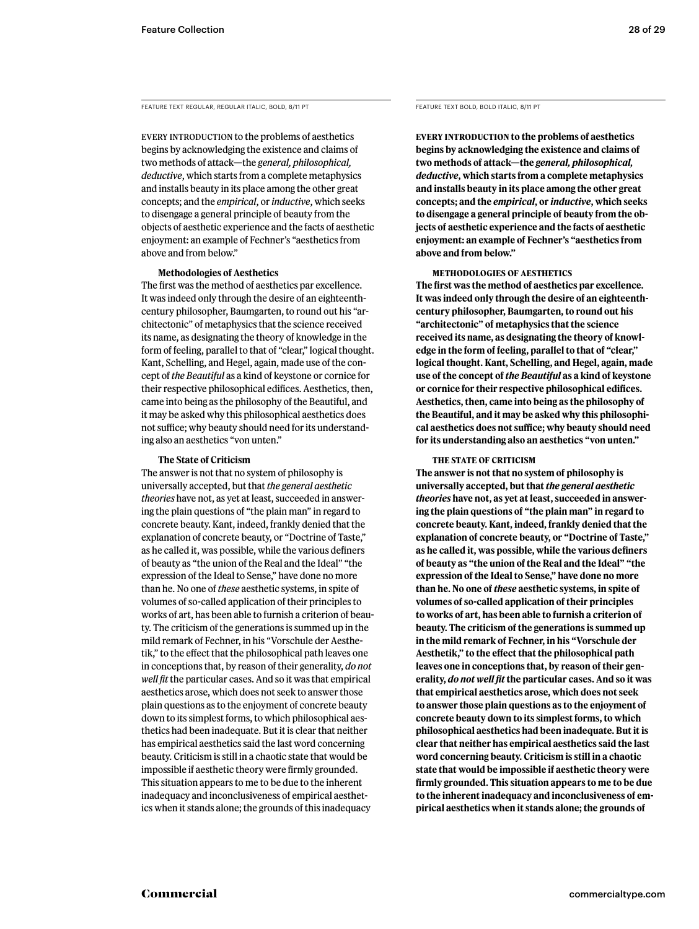FEATURE TEXT REGULAR, REGULAR ITALIC, BOLD, 8/11 PT

EVERY INTRODUCTION to the problems of aesthetics begins by acknowledging the existence and claims of two methods of attack—the *general, philosophical, deductive*, which starts from a complete metaphysics and installs beauty in its place among the other great concepts; and the *empirical*, or *inductive*, which seeks to disengage a general principle of beauty from the objects of aesthetic experience and the facts of aesthetic enjoyment: an example of Fechner's "aesthetics from above and from below."

### **Methodologies of Aesthetics**

The first was the method of aesthetics par excellence. It was indeed only through the desire of an eighteenthcentury philosopher, Baumgarten, to round out his "architectonic" of metaphysics that the science received its name, as designating the theory of knowledge in the form of feeling, parallel to that of "clear," logical thought. Kant, Schelling, and Hegel, again, made use of the concept of *the Beautiful* as a kind of keystone or cornice for their respective philosophical edifices. Aesthetics, then, came into being as the philosophy of the Beautiful, and it may be asked why this philosophical aesthetics does not suffice; why beauty should need for its understanding also an aesthetics "von unten."

### **The State of Criticism**

The answer is not that no system of philosophy is universally accepted, but that *the general aesthetic theories* have not, as yet at least, succeeded in answering the plain questions of "the plain man" in regard to concrete beauty. Kant, indeed, frankly denied that the explanation of concrete beauty, or "Doctrine of Taste," as he called it, was possible, while the various definers of beauty as "the union of the Real and the Ideal" "the expression of the Ideal to Sense," have done no more than he. No one of *these* aesthetic systems, in spite of volumes of so-called application of their principles to works of art, has been able to furnish a criterion of beauty. The criticism of the generations is summed up in the mild remark of Fechner, in his "Vorschule der Aesthetik," to the effect that the philosophical path leaves one in conceptions that, by reason of their generality, *do not well fit* the particular cases. And so it was that empirical aesthetics arose, which does not seek to answer those plain questions as to the enjoyment of concrete beauty down to its simplest forms, to which philosophical aesthetics had been inadequate. But it is clear that neither has empirical aesthetics said the last word concerning beauty. Criticism is still in a chaotic state that would be impossible if aesthetic theory were firmly grounded. This situation appears to me to be due to the inherent inadequacy and inconclusiveness of empirical aesthetics when it stands alone; the grounds of this inadequacy

FEATURE TEXT BOLD, BOLD ITALIC, 8/11 PT

**Every introduction to the problems of aesthetics begins by acknowledging the existence and claims of two methods of attack—the** *general, philosophical, deductive***, which starts from a complete metaphysics and installs beauty in its place among the other great concepts; and the** *empirical***, or** *inductive***, which seeks to disengage a general principle of beauty from the objects of aesthetic experience and the facts of aesthetic enjoyment: an example of Fechner's "aesthetics from above and from below."** 

### **Methodologies of Aesthetics**

**The first was the method of aesthetics par excellence. It was indeed only through the desire of an eighteenthcentury philosopher, Baumgarten, to round out his "architectonic" of metaphysics that the science received its name, as designating the theory of knowledge in the form of feeling, parallel to that of "clear," logical thought. Kant, Schelling, and Hegel, again, made use of the concept of** *the Beautiful* **as a kind of keystone or cornice for their respective philosophical edifices. Aesthetics, then, came into being as the philosophy of the Beautiful, and it may be asked why this philosophical aesthetics does not suffice; why beauty should need for its understanding also an aesthetics "von unten."** 

### **The State of Criticism**

**The answer is not that no system of philosophy is universally accepted, but that** *the general aesthetic theories* **have not, as yet at least, succeeded in answering the plain questions of "the plain man" in regard to concrete beauty. Kant, indeed, frankly denied that the explanation of concrete beauty, or "Doctrine of Taste," as he called it, was possible, while the various definers of beauty as "the union of the Real and the Ideal" "the expression of the Ideal to Sense," have done no more than he. No one of** *these* **aesthetic systems, in spite of volumes of so-called application of their principles to works of art, has been able to furnish a criterion of beauty. The criticism of the generations is summed up in the mild remark of Fechner, in his "Vorschule der Aesthetik," to the effect that the philosophical path leaves one in conceptions that, by reason of their generality,** *do not well fit* **the particular cases. And so it was that empirical aesthetics arose, which does not seek to answer those plain questions as to the enjoyment of concrete beauty down to its simplest forms, to which philosophical aesthetics had been inadequate. But it is clear that neither has empirical aesthetics said the last word concerning beauty. Criticism is still in a chaotic state that would be impossible if aesthetic theory were firmly grounded. This situation appears to me to be due to the inherent inadequacy and inconclusiveness of empirical aesthetics when it stands alone; the grounds of**